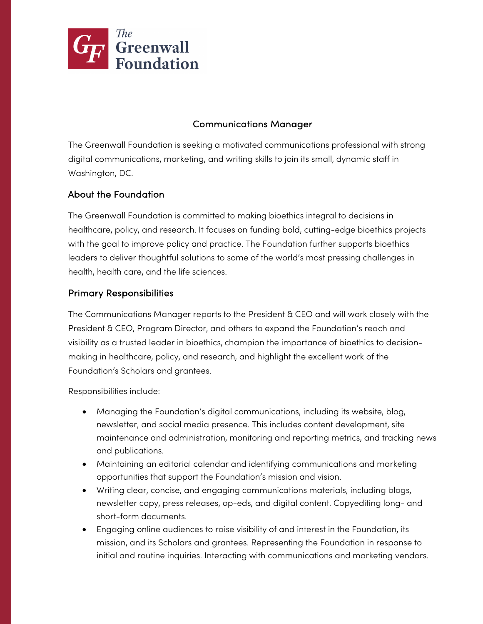

## Communications Manager

The Greenwall Foundation is seeking a motivated communications professional with strong digital communications, marketing, and writing skills to join its small, dynamic staff in Washington, DC.

# About the Foundation

The Greenwall Foundation is committed to making bioethics integral to decisions in healthcare, policy, and research. It focuses on funding bold, cutting-edge bioethics projects with the goal to improve policy and practice. The Foundation further supports bioethics leaders to deliver thoughtful solutions to some of the world's most pressing challenges in health, health care, and the life sciences.

### Primary Responsibilities

The Communications Manager reports to the President & CEO and will work closely with the President & CEO, Program Director, and others to expand the Foundation's reach and visibility as a trusted leader in bioethics, champion the importance of bioethics to decisionmaking in healthcare, policy, and research, and highlight the excellent work of the Foundation's Scholars and grantees.

Responsibilities include:

- Managing the Foundation's digital communications, including its website, blog, newsletter, and social media presence. This includes content development, site maintenance and administration, monitoring and reporting metrics, and tracking news and publications.
- Maintaining an editorial calendar and identifying communications and marketing opportunities that support the Foundation's mission and vision.
- Writing clear, concise, and engaging communications materials, including blogs, newsletter copy, press releases, op-eds, and digital content. Copyediting long- and short-form documents.
- Engaging online audiences to raise visibility of and interest in the Foundation, its mission, and its Scholars and grantees. Representing the Foundation in response to initial and routine inquiries. Interacting with communications and marketing vendors.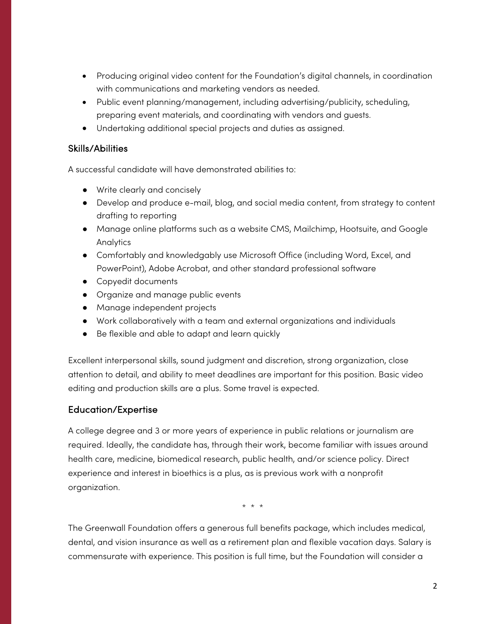- Producing original video content for the Foundation's digital channels, in coordination with communications and marketing vendors as needed.
- Public event planning/management, including advertising/publicity, scheduling, preparing event materials, and coordinating with vendors and guests.
- Undertaking additional special projects and duties as assigned.

#### Skills/Abilities

A successful candidate will have demonstrated abilities to:

- Write clearly and concisely
- Develop and produce e-mail, blog, and social media content, from strategy to content drafting to reporting
- Manage online platforms such as a website CMS, Mailchimp, Hootsuite, and Google Analytics
- Comfortably and knowledgably use Microsoft Office (including Word, Excel, and PowerPoint), Adobe Acrobat, and other standard professional software
- Copyedit documents
- Organize and manage public events
- Manage independent projects
- Work collaboratively with a team and external organizations and individuals
- Be flexible and able to adapt and learn quickly

Excellent interpersonal skills, sound judgment and discretion, strong organization, close attention to detail, and ability to meet deadlines are important for this position. Basic video editing and production skills are a plus. Some travel is expected.

### Education/Expertise

A college degree and 3 or more years of experience in public relations or journalism are required. Ideally, the candidate has, through their work, become familiar with issues around health care, medicine, biomedical research, public health, and/or science policy. Direct experience and interest in bioethics is a plus, as is previous work with a nonprofit organization.

\* \* \*

The Greenwall Foundation offers a generous full benefits package, which includes medical, dental, and vision insurance as well as a retirement plan and flexible vacation days. Salary is commensurate with experience. This position is full time, but the Foundation will consider a